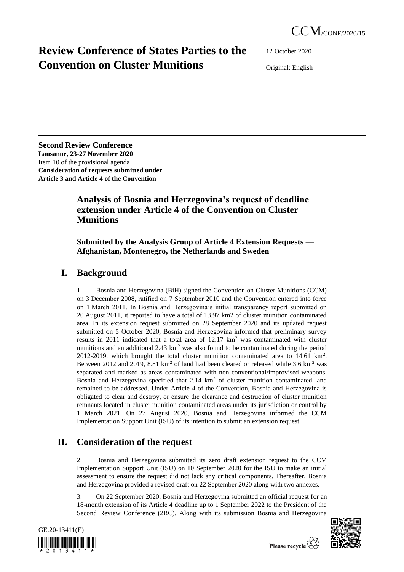# **Review Conference of States Parties to the Convention on Cluster Munitions**

12 October 2020

Original: English

**Second Review Conference Lausanne, 23-27 November 2020** Item 10 of the provisional agenda **Consideration of requests submitted under Article 3 and Article 4 of the Convention**

### **Analysis of Bosnia and Herzegovina's request of deadline extension under Article 4 of the Convention on Cluster Munitions**

#### **Submitted by the Analysis Group of Article 4 Extension Requests — Afghanistan, Montenegro, the Netherlands and Sweden**

### **I. Background**

1. Bosnia and Herzegovina (BiH) signed the Convention on Cluster Munitions (CCM) on 3 December 2008, ratified on 7 September 2010 and the Convention entered into force on 1 March 2011. In Bosnia and Herzegovina's initial transparency report submitted on 20 August 2011, it reported to have a total of 13.97 km2 of cluster munition contaminated area. In its extension request submitted on 28 September 2020 and its updated request submitted on 5 October 2020, Bosnia and Herzegovina informed that preliminary survey results in 2011 indicated that a total area of  $12.17 \text{ km}^2$  was contaminated with cluster munitions and an additional  $2.43 \text{ km}^2$  was also found to be contaminated during the period 2012-2019, which brought the total cluster munition contaminated area to  $14.61 \text{ km}^2$ . Between 2012 and 2019, 8.81 km<sup>2</sup> of land had been cleared or released while 3.6 km<sup>2</sup> was separated and marked as areas contaminated with non-conventional/improvised weapons. Bosnia and Herzegovina specified that 2.14 km<sup>2</sup> of cluster munition contaminated land remained to be addressed. Under Article 4 of the Convention, Bosnia and Herzegovina is obligated to clear and destroy, or ensure the clearance and destruction of cluster munition remnants located in cluster munition contaminated areas under its jurisdiction or control by 1 March 2021. On 27 August 2020, Bosnia and Herzegovina informed the CCM Implementation Support Unit (ISU) of its intention to submit an extension request.

## **II. Consideration of the request**

2. Bosnia and Herzegovina submitted its zero draft extension request to the CCM Implementation Support Unit (ISU) on 10 September 2020 for the ISU to make an initial assessment to ensure the request did not lack any critical components. Thereafter, Bosnia and Herzegovina provided a revised draft on 22 September 2020 along with two annexes.

3. On 22 September 2020, Bosnia and Herzegovina submitted an official request for an 18-month extension of its Article 4 deadline up to 1 September 2022 to the President of the Second Review Conference (2RC). Along with its submission Bosnia and Herzegovina



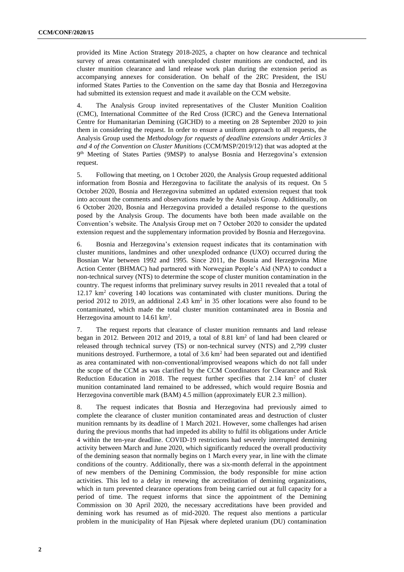provided its Mine Action Strategy 2018-2025, a chapter on how clearance and technical survey of areas contaminated with unexploded cluster munitions are conducted, and its cluster munition clearance and land release work plan during the extension period as accompanying annexes for consideration. On behalf of the 2RC President, the ISU informed States Parties to the Convention on the same day that Bosnia and Herzegovina had submitted its extension request and made it available on the CCM website.

The Analysis Group invited representatives of the Cluster Munition Coalition (CMC), International Committee of the Red Cross (ICRC) and the Geneva International Centre for Humanitarian Demining (GICHD) to a meeting on 28 September 2020 to join them in considering the request. In order to ensure a uniform approach to all requests, the Analysis Group used the *Methodology for requests of deadline extensions under Articles 3 and 4 of the Convention on Cluster Munitions* (CCM/MSP/2019/12) that was adopted at the 9 th Meeting of States Parties (9MSP) to analyse Bosnia and Herzegovina's extension request.

5. Following that meeting, on 1 October 2020, the Analysis Group requested additional information from Bosnia and Herzegovina to facilitate the analysis of its request. On 5 October 2020, Bosnia and Herzegovina submitted an updated extension request that took into account the comments and observations made by the Analysis Group. Additionally, on 6 October 2020, Bosnia and Herzegovina provided a detailed response to the questions posed by the Analysis Group. The documents have both been made available on the Convention's website. The Analysis Group met on 7 October 2020 to consider the updated extension request and the supplementary information provided by Bosnia and Herzegovina.

6. Bosnia and Herzegovina's extension request indicates that its contamination with cluster munitions, landmines and other unexploded ordnance (UXO) occurred during the Bosnian War between 1992 and 1995. Since 2011, the Bosnia and Herzegovina Mine Action Center (BHMAC) had partnered with Norwegian People's Aid (NPA) to conduct a non-technical survey (NTS) to determine the scope of cluster munition contamination in the country. The request informs that preliminary survey results in 2011 revealed that a total of 12.17 km<sup>2</sup> covering 140 locations was contaminated with cluster munitions. During the period 2012 to 2019, an additional 2.43  $km^2$  in 35 other locations were also found to be contaminated, which made the total cluster munition contaminated area in Bosnia and Herzegovina amount to  $14.61 \text{ km}^2$ .

7. The request reports that clearance of cluster munition remnants and land release began in 2012. Between 2012 and 2019, a total of 8.81 km<sup>2</sup> of land had been cleared or released through technical survey (TS) or non-technical survey (NTS) and 2,799 cluster munitions destroyed. Furthermore, a total of  $3.6 \text{ km}^2$  had been separated out and identified as area contaminated with non-conventional/improvised weapons which do not fall under the scope of the CCM as was clarified by the CCM Coordinators for Clearance and Risk Reduction Education in 2018. The request further specifies that  $2.14 \text{ km}^2$  of cluster munition contaminated land remained to be addressed, which would require Bosnia and Herzegovina convertible mark (BAM) 4.5 million (approximately EUR 2.3 million).

8. The request indicates that Bosnia and Herzegovina had previously aimed to complete the clearance of cluster munition contaminated areas and destruction of cluster munition remnants by its deadline of 1 March 2021. However, some challenges had arisen during the previous months that had impeded its ability to fulfil its obligations under Article 4 within the ten-year deadline. COVID-19 restrictions had severely interrupted demining activity between March and June 2020, which significantly reduced the overall productivity of the demining season that normally begins on 1 March every year, in line with the climate conditions of the country. Additionally, there was a six-month deferral in the appointment of new members of the Demining Commission, the body responsible for mine action activities. This led to a delay in renewing the accreditation of demining organizations, which in turn prevented clearance operations from being carried out at full capacity for a period of time. The request informs that since the appointment of the Demining Commission on 30 April 2020, the necessary accreditations have been provided and demining work has resumed as of mid-2020. The request also mentions a particular problem in the municipality of Han Pijesak where depleted uranium (DU) contamination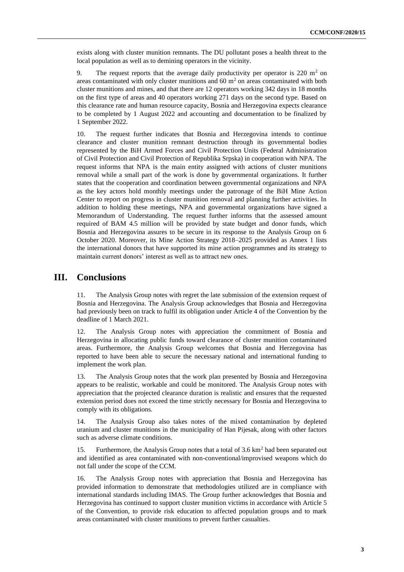exists along with cluster munition remnants. The DU pollutant poses a health threat to the local population as well as to demining operators in the vicinity.

9. The request reports that the average daily productivity per operator is 220  $m<sup>2</sup>$  on areas contaminated with only cluster munitions and  $60 \text{ m}^2$  on areas contaminated with both cluster munitions and mines, and that there are 12 operators working 342 days in 18 months on the first type of areas and 40 operators working 271 days on the second type. Based on this clearance rate and human resource capacity, Bosnia and Herzegovina expects clearance to be completed by 1 August 2022 and accounting and documentation to be finalized by 1 September 2022.

10. The request further indicates that Bosnia and Herzegovina intends to continue clearance and cluster munition remnant destruction through its governmental bodies represented by the BiH Armed Forces and Civil Protection Units (Federal Administration of Civil Protection and Civil Protection of Republika Srpska) in cooperation with NPA. The request informs that NPA is the main entity assigned with actions of cluster munitions removal while a small part of the work is done by governmental organizations. It further states that the cooperation and coordination between governmental organizations and NPA as the key actors hold monthly meetings under the patronage of the BiH Mine Action Center to report on progress in cluster munition removal and planning further activities. In addition to holding these meetings, NPA and governmental organizations have signed a Memorandum of Understanding. The request further informs that the assessed amount required of BAM 4.5 million will be provided by state budget and donor funds, which Bosnia and Herzegovina assures to be secure in its response to the Analysis Group on 6 October 2020. Moreover, its Mine Action Strategy 2018–2025 provided as Annex 1 lists the international donors that have supported its mine action programmes and its strategy to maintain current donors' interest as well as to attract new ones.

#### **III. Conclusions**

11. The Analysis Group notes with regret the late submission of the extension request of Bosnia and Herzegovina. The Analysis Group acknowledges that Bosnia and Herzegovina had previously been on track to fulfil its obligation under Article 4 of the Convention by the deadline of 1 March 2021.

12. The Analysis Group notes with appreciation the commitment of Bosnia and Herzegovina in allocating public funds toward clearance of cluster munition contaminated areas. Furthermore, the Analysis Group welcomes that Bosnia and Herzegovina has reported to have been able to secure the necessary national and international funding to implement the work plan.

13. The Analysis Group notes that the work plan presented by Bosnia and Herzegovina appears to be realistic, workable and could be monitored. The Analysis Group notes with appreciation that the projected clearance duration is realistic and ensures that the requested extension period does not exceed the time strictly necessary for Bosnia and Herzegovina to comply with its obligations.

14. The Analysis Group also takes notes of the mixed contamination by depleted uranium and cluster munitions in the municipality of Han Pijesak, along with other factors such as adverse climate conditions.

15. Furthermore, the Analysis Group notes that a total of  $3.6 \text{ km}^2$  had been separated out and identified as area contaminated with non-conventional/improvised weapons which do not fall under the scope of the CCM.

16. The Analysis Group notes with appreciation that Bosnia and Herzegovina has provided information to demonstrate that methodologies utilized are in compliance with international standards including IMAS. The Group further acknowledges that Bosnia and Herzegovina has continued to support cluster munition victims in accordance with Article 5 of the Convention, to provide risk education to affected population groups and to mark areas contaminated with cluster munitions to prevent further casualties.